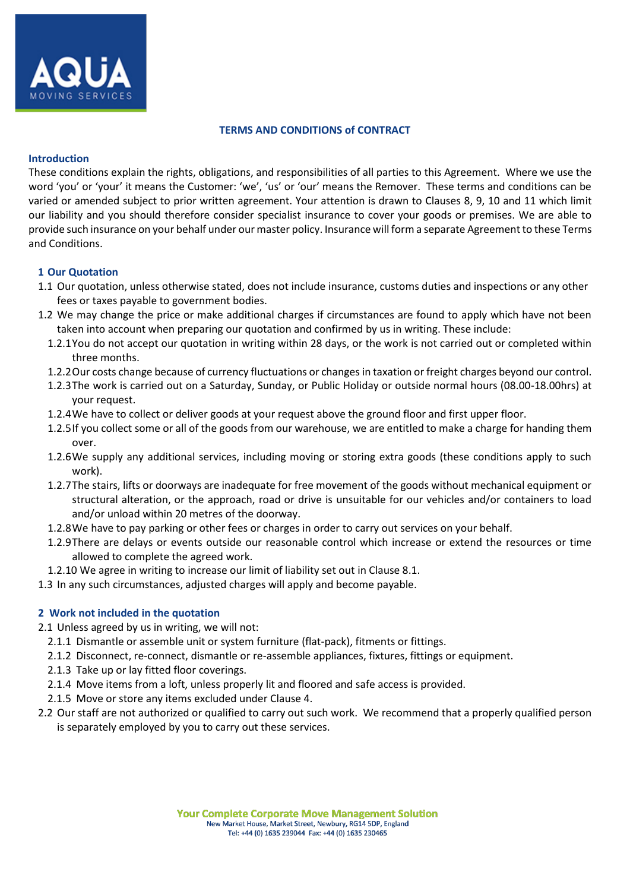

#### **TERMS AND CONDITIONS of CONTRACT**

#### **Introduction**

These conditions explain the rights, obligations, and responsibilities of all parties to this Agreement. Where we use the word 'you' or 'your' it means the Customer: 'we', 'us' or 'our' means the Remover. These terms and conditions can be varied or amended subject to prior written agreement. Your attention is drawn to Clauses 8, 9, 10 and 11 which limit our liability and you should therefore consider specialist insurance to cover your goods or premises. We are able to provide such insurance on your behalf under our master policy. Insurance will form a separate Agreement to these Terms and Conditions.

# **1 Our Quotation**

- 1.1 Our quotation, unless otherwise stated, does not include insurance, customs duties and inspections or any other fees or taxes payable to government bodies.
- 1.2 We may change the price or make additional charges if circumstances are found to apply which have not been taken into account when preparing our quotation and confirmed by us in writing. These include:
	- 1.2.1You do not accept our quotation in writing within 28 days, or the work is not carried out or completed within three months.
	- 1.2.2Our costs change because of currency fluctuations or changes in taxation or freight charges beyond our control.
	- 1.2.3The work is carried out on a Saturday, Sunday, or Public Holiday or outside normal hours (08.00-18.00hrs) at your request.
	- 1.2.4We have to collect or deliver goods at your request above the ground floor and first upper floor.
	- 1.2.5If you collect some or all of the goods from our warehouse, we are entitled to make a charge for handing them over.
	- 1.2.6We supply any additional services, including moving or storing extra goods (these conditions apply to such work).
	- 1.2.7The stairs, lifts or doorways are inadequate for free movement of the goods without mechanical equipment or structural alteration, or the approach, road or drive is unsuitable for our vehicles and/or containers to load and/or unload within 20 metres of the doorway.
	- 1.2.8We have to pay parking or other fees or charges in order to carry out services on your behalf.
	- 1.2.9There are delays or events outside our reasonable control which increase or extend the resources or time allowed to complete the agreed work.
	- 1.2.10 We agree in writing to increase our limit of liability set out in Clause 8.1.
- 1.3 In any such circumstances, adjusted charges will apply and become payable.

## **2 Work not included in the quotation**

- 2.1 Unless agreed by us in writing, we will not:
	- 2.1.1 Dismantle or assemble unit or system furniture (flat-pack), fitments or fittings.
	- 2.1.2 Disconnect, re-connect, dismantle or re-assemble appliances, fixtures, fittings or equipment.
	- 2.1.3 Take up or lay fitted floor coverings.
	- 2.1.4 Move items from a loft, unless properly lit and floored and safe access is provided.
	- 2.1.5 Move or store any items excluded under Clause 4.
- 2.2 Our staff are not authorized or qualified to carry out such work. We recommend that a properly qualified person is separately employed by you to carry out these services.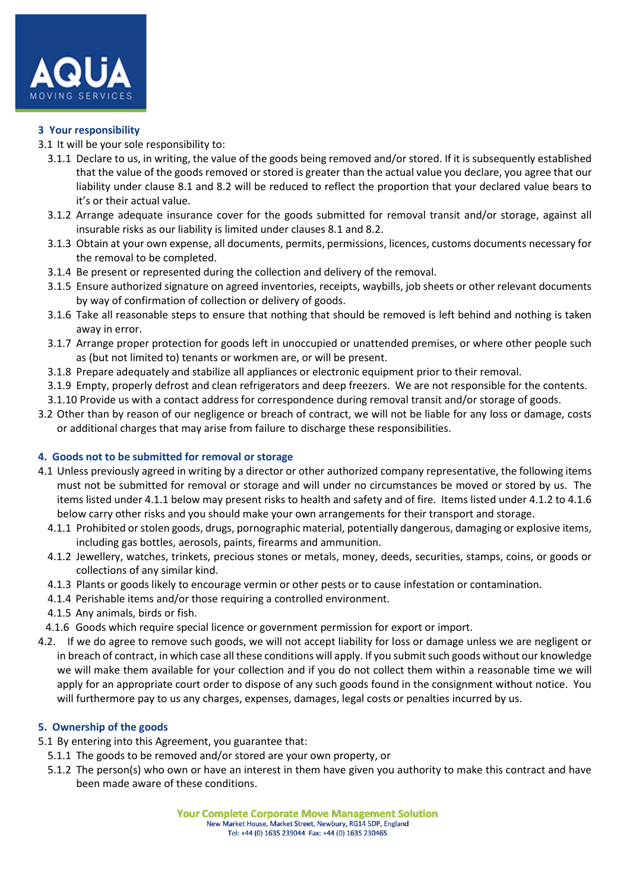

## **3 Your responsibility**

- 3.1 It will be your sole responsibility to:
	- 3.1.1 Declare to us, in writing, the value of the goods being removed and/or stored. If it is subsequently established that the value of the goods removed or stored is greater than the actual value you declare, you agree that our liability under clause 8.1 and 8.2 will be reduced to reflect the proportion that your declared value bears to it's or their actual value.
	- 3.1.2 Arrange adequate insurance cover for the goods submitted for removal transit and/or storage, against all insurable risks as our liability is limited under clauses 8.1 and 8.2.
	- 3.1.3 Obtain at your own expense, all documents, permits, permissions, licences, customs documents necessary for the removal to be completed.
	- 3.1.4 Be present or represented during the collection and delivery of the removal.
	- 3.1.5 Ensure authorized signature on agreed inventories, receipts, waybills, job sheets or other relevant documents by way of confirmation of collection or delivery of goods.
	- 3.1.6 Take all reasonable steps to ensure that nothing that should be removed is left behind and nothing is taken away in error.
	- 3.1.7 Arrange proper protection for goods left in unoccupied or unattended premises, or where other people such as (but not limited to) tenants or workmen are, or will be present.
	- 3.1.8 Prepare adequately and stabilize all appliances or electronic equipment prior to their removal.
	- 3.1.9 Empty, properly defrost and clean refrigerators and deep freezers. We are not responsible for the contents.
	- 3.1.10 Provide us with a contact address for correspondence during removal transit and/or storage of goods.
- 3.2 Other than by reason of our negligence or breach of contract, we will not be liable for any loss or damage, costs or additional charges that may arise from failure to discharge these responsibilities.

## **4. Goods not to be submitted for removal or storage**

- 4.1 Unless previously agreed in writing by a director or other authorized company representative, the following items must not be submitted for removal or storage and will under no circumstances be moved or stored by us. The items listed under 4.1.1 below may present risks to health and safety and of fire. Items listed under 4.1.2 to 4.1.6 below carry other risks and you should make your own arrangements for their transport and storage.
	- 4.1.1 Prohibited or stolen goods, drugs, pornographic material, potentially dangerous, damaging or explosive items, including gas bottles, aerosols, paints, firearms and ammunition.
	- 4.1.2 Jewellery, watches, trinkets, precious stones or metals, money, deeds, securities, stamps, coins, or goods or collections of any similar kind.
	- 4.1.3 Plants or goods likely to encourage vermin or other pests or to cause infestation or contamination.
	- 4.1.4 Perishable items and/or those requiring a controlled environment.
	- 4.1.5 Any animals, birds or fish.
- 4.1.6 Goods which require special licence or government permission for export or import.
- 4.2. If we do agree to remove such goods, we will not accept liability for loss or damage unless we are negligent or in breach of contract, in which case all these conditions will apply. If you submit such goods without our knowledge we will make them available for your collection and if you do not collect them within a reasonable time we will apply for an appropriate court order to dispose of any such goods found in the consignment without notice. You will furthermore pay to us any charges, expenses, damages, legal costs or penalties incurred by us.

## **5. Ownership of the goods**

- 5.1 By entering into this Agreement, you guarantee that:
- 5.1.1 The goods to be removed and/or stored are your own property, or
- 5.1.2 The person(s) who own or have an interest in them have given you authority to make this contract and have been made aware of these conditions.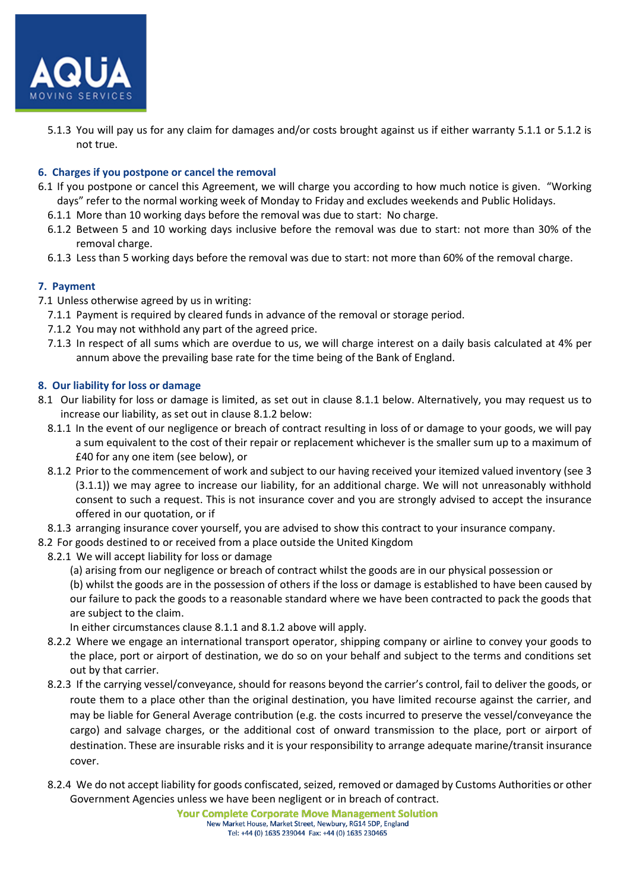

5.1.3 You will pay us for any claim for damages and/or costs brought against us if either warranty 5.1.1 or 5.1.2 is not true.

# **6. Charges if you postpone or cancel the removal**

- 6.1 If you postpone or cancel this Agreement, we will charge you according to how much notice is given. "Working days" refer to the normal working week of Monday to Friday and excludes weekends and Public Holidays.
	- 6.1.1 More than 10 working days before the removal was due to start: No charge.
	- 6.1.2 Between 5 and 10 working days inclusive before the removal was due to start: not more than 30% of the removal charge.
	- 6.1.3 Less than 5 working days before the removal was due to start: not more than 60% of the removal charge.

# **7. Payment**

- 7.1 Unless otherwise agreed by us in writing:
	- 7.1.1 Payment is required by cleared funds in advance of the removal or storage period.
	- 7.1.2 You may not withhold any part of the agreed price.
	- 7.1.3 In respect of all sums which are overdue to us, we will charge interest on a daily basis calculated at 4% per annum above the prevailing base rate for the time being of the Bank of England.

# **8. Our liability for loss or damage**

- 8.1 Our liability for loss or damage is limited, as set out in clause 8.1.1 below. Alternatively, you may request us to increase our liability, as set out in clause 8.1.2 below:
	- 8.1.1 In the event of our negligence or breach of contract resulting in loss of or damage to your goods, we will pay a sum equivalent to the cost of their repair or replacement whichever is the smaller sum up to a maximum of £40 for any one item (see below), or
	- 8.1.2 Prior to the commencement of work and subject to our having received your itemized valued inventory (see 3 (3.1.1)) we may agree to increase our liability, for an additional charge. We will not unreasonably withhold consent to such a request. This is not insurance cover and you are strongly advised to accept the insurance offered in our quotation, or if
- 8.1.3 arranging insurance cover yourself, you are advised to show this contract to your insurance company.
- 8.2 For goods destined to or received from a place outside the United Kingdom
- 8.2.1 We will accept liability for loss or damage
	- (a) arising from our negligence or breach of contract whilst the goods are in our physical possession or

(b) whilst the goods are in the possession of others if the loss or damage is established to have been caused by our failure to pack the goods to a reasonable standard where we have been contracted to pack the goods that are subject to the claim.

In either circumstances clause 8.1.1 and 8.1.2 above will apply.

- 8.2.2 Where we engage an international transport operator, shipping company or airline to convey your goods to the place, port or airport of destination, we do so on your behalf and subject to the terms and conditions set out by that carrier.
- 8.2.3 If the carrying vessel/conveyance, should for reasons beyond the carrier's control, fail to deliver the goods, or route them to a place other than the original destination, you have limited recourse against the carrier, and may be liable for General Average contribution (e.g. the costs incurred to preserve the vessel/conveyance the cargo) and salvage charges, or the additional cost of onward transmission to the place, port or airport of destination. These are insurable risks and it is your responsibility to arrange adequate marine/transit insurance cover.
- 8.2.4 We do not accept liability for goods confiscated, seized, removed or damaged by Customs Authorities or other Government Agencies unless we have been negligent or in breach of contract.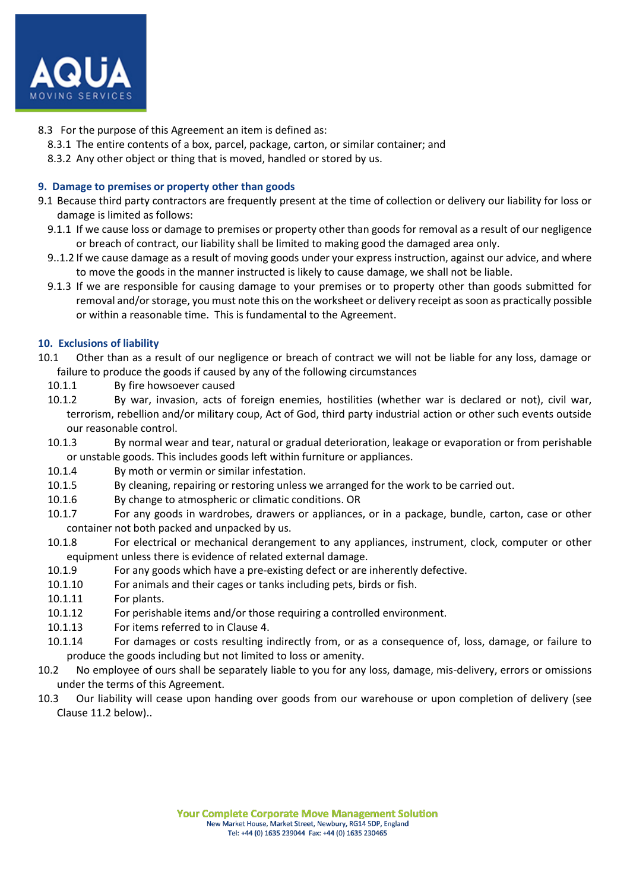

- 8.3 For the purpose of this Agreement an item is defined as:
	- 8.3.1 The entire contents of a box, parcel, package, carton, or similar container; and
	- 8.3.2 Any other object or thing that is moved, handled or stored by us.

# **9. Damage to premises or property other than goods**

- 9.1 Because third party contractors are frequently present at the time of collection or delivery our liability for loss or damage is limited as follows:
	- 9.1.1 If we cause loss or damage to premises or property other than goods for removal as a result of our negligence or breach of contract, our liability shall be limited to making good the damaged area only.
	- 9..1.2 If we cause damage as a result of moving goods under your express instruction, against our advice, and where to move the goods in the manner instructed is likely to cause damage, we shall not be liable.
	- 9.1.3 If we are responsible for causing damage to your premises or to property other than goods submitted for removal and/or storage, you must note this on the worksheet or delivery receipt as soon as practically possible or within a reasonable time. This is fundamental to the Agreement.

# **10. Exclusions of liability**

- 10.1 Other than as a result of our negligence or breach of contract we will not be liable for any loss, damage or failure to produce the goods if caused by any of the following circumstances
	- 10.1.1 By fire howsoever caused
	- 10.1.2 By war, invasion, acts of foreign enemies, hostilities (whether war is declared or not), civil war, terrorism, rebellion and/or military coup, Act of God, third party industrial action or other such events outside our reasonable control.
	- 10.1.3 By normal wear and tear, natural or gradual deterioration, leakage or evaporation or from perishable or unstable goods. This includes goods left within furniture or appliances.
	- 10.1.4 By moth or vermin or similar infestation.
	- 10.1.5 By cleaning, repairing or restoring unless we arranged for the work to be carried out.
	- 10.1.6 By change to atmospheric or climatic conditions. OR
	- 10.1.7 For any goods in wardrobes, drawers or appliances, or in a package, bundle, carton, case or other container not both packed and unpacked by us.
	- 10.1.8 For electrical or mechanical derangement to any appliances, instrument, clock, computer or other equipment unless there is evidence of related external damage.
	- 10.1.9 For any goods which have a pre-existing defect or are inherently defective.
	- 10.1.10 For animals and their cages or tanks including pets, birds or fish.
	- 10.1.11 For plants.
	- 10.1.12 For perishable items and/or those requiring a controlled environment.
	- 10.1.13 For items referred to in Clause 4.
	- 10.1.14 For damages or costs resulting indirectly from, or as a consequence of, loss, damage, or failure to produce the goods including but not limited to loss or amenity.
- 10.2 No employee of ours shall be separately liable to you for any loss, damage, mis-delivery, errors or omissions under the terms of this Agreement.
- 10.3 Our liability will cease upon handing over goods from our warehouse or upon completion of delivery (see Clause 11.2 below)..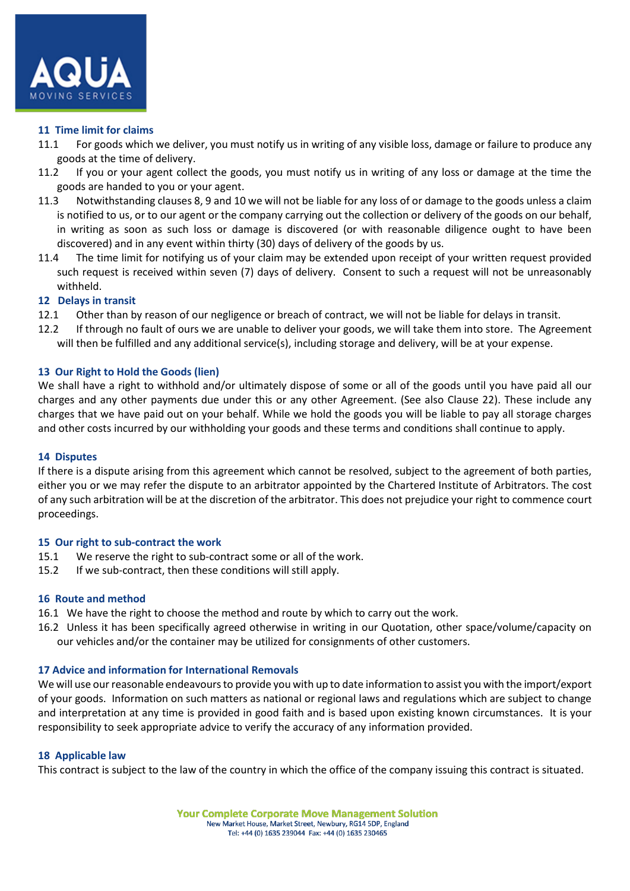

#### **11 Time limit for claims**

- 11.1 For goods which we deliver, you must notify us in writing of any visible loss, damage or failure to produce any goods at the time of delivery.
- 11.2 If you or your agent collect the goods, you must notify us in writing of any loss or damage at the time the goods are handed to you or your agent.
- 11.3 Notwithstanding clauses 8, 9 and 10 we will not be liable for any loss of or damage to the goods unless a claim is notified to us, or to our agent or the company carrying out the collection or delivery of the goods on our behalf, in writing as soon as such loss or damage is discovered (or with reasonable diligence ought to have been discovered) and in any event within thirty (30) days of delivery of the goods by us.
- 11.4 The time limit for notifying us of your claim may be extended upon receipt of your written request provided such request is received within seven (7) days of delivery. Consent to such a request will not be unreasonably withheld.

## **12 Delays in transit**

- 12.1 Other than by reason of our negligence or breach of contract, we will not be liable for delays in transit.
- 12.2 If through no fault of ours we are unable to deliver your goods, we will take them into store. The Agreement will then be fulfilled and any additional service(s), including storage and delivery, will be at your expense.

## **13 Our Right to Hold the Goods (lien)**

We shall have a right to withhold and/or ultimately dispose of some or all of the goods until you have paid all our charges and any other payments due under this or any other Agreement. (See also Clause 22). These include any charges that we have paid out on your behalf. While we hold the goods you will be liable to pay all storage charges and other costs incurred by our withholding your goods and these terms and conditions shall continue to apply.

## **14 Disputes**

If there is a dispute arising from this agreement which cannot be resolved, subject to the agreement of both parties, either you or we may refer the dispute to an arbitrator appointed by the Chartered Institute of Arbitrators. The cost of any such arbitration will be at the discretion of the arbitrator. This does not prejudice your right to commence court proceedings.

## **15 Our right to sub-contract the work**

- 15.1 We reserve the right to sub-contract some or all of the work.
- 15.2 If we sub-contract, then these conditions will still apply.

## **16 Route and method**

- 16.1 We have the right to choose the method and route by which to carry out the work.
- 16.2 Unless it has been specifically agreed otherwise in writing in our Quotation, other space/volume/capacity on our vehicles and/or the container may be utilized for consignments of other customers.

## **17 Advice and information for International Removals**

We will use our reasonable endeavours to provide you with up to date information to assist you with the import/export of your goods. Information on such matters as national or regional laws and regulations which are subject to change and interpretation at any time is provided in good faith and is based upon existing known circumstances. It is your responsibility to seek appropriate advice to verify the accuracy of any information provided.

## **18 Applicable law**

This contract is subject to the law of the country in which the office of the company issuing this contract is situated.